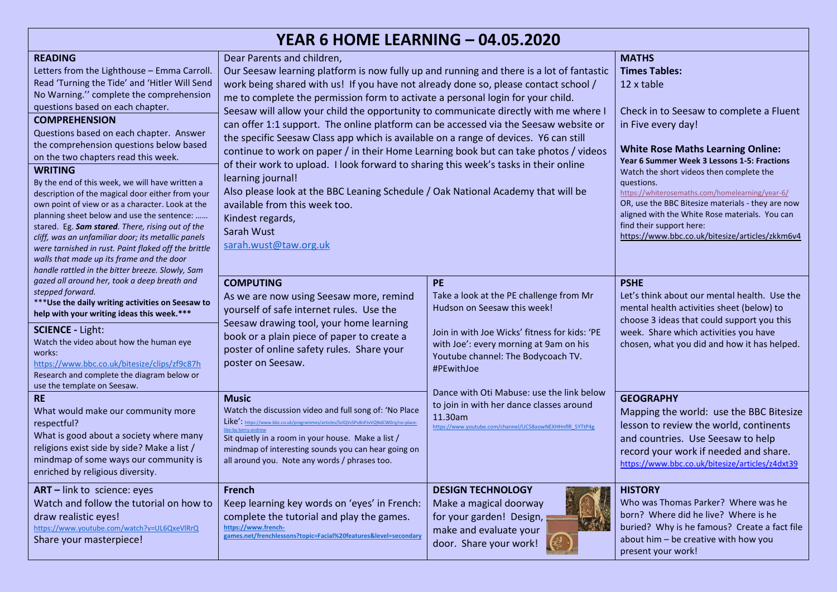| <b>YEAR 6 HOME LEARNING - 04.05.2020</b>                                                                                                                                                                                                                                                                                                                                                                                                                                                                                                                                                                                                                                                                                                                                                                                                         |                                                                                                                                                                                                                                                                                                                                                                                                                                                                                                                                                                                                                                                                                                                                                                                                                                                                                                                                                               |                                                                                                                                                                                                                             |                                                                                                                                                                                                                                                                                                                                                                                                                                                                                                                   |  |
|--------------------------------------------------------------------------------------------------------------------------------------------------------------------------------------------------------------------------------------------------------------------------------------------------------------------------------------------------------------------------------------------------------------------------------------------------------------------------------------------------------------------------------------------------------------------------------------------------------------------------------------------------------------------------------------------------------------------------------------------------------------------------------------------------------------------------------------------------|---------------------------------------------------------------------------------------------------------------------------------------------------------------------------------------------------------------------------------------------------------------------------------------------------------------------------------------------------------------------------------------------------------------------------------------------------------------------------------------------------------------------------------------------------------------------------------------------------------------------------------------------------------------------------------------------------------------------------------------------------------------------------------------------------------------------------------------------------------------------------------------------------------------------------------------------------------------|-----------------------------------------------------------------------------------------------------------------------------------------------------------------------------------------------------------------------------|-------------------------------------------------------------------------------------------------------------------------------------------------------------------------------------------------------------------------------------------------------------------------------------------------------------------------------------------------------------------------------------------------------------------------------------------------------------------------------------------------------------------|--|
| <b>READING</b><br>Letters from the Lighthouse - Emma Carroll.<br>Read 'Turning the Tide' and 'Hitler Will Send<br>No Warning." complete the comprehension<br>questions based on each chapter.<br><b>COMPREHENSION</b><br>Questions based on each chapter. Answer<br>the comprehension questions below based<br>on the two chapters read this week.<br><b>WRITING</b><br>By the end of this week, we will have written a<br>description of the magical door either from your<br>own point of view or as a character. Look at the<br>planning sheet below and use the sentence:<br>stared. Eg. Sam stared. There, rising out of the<br>cliff, was an unfamiliar door; its metallic panels<br>were tarnished in rust. Paint flaked off the brittle<br>walls that made up its frame and the door<br>handle rattled in the bitter breeze. Slowly, Sam | Dear Parents and children,<br>Our Seesaw learning platform is now fully up and running and there is a lot of fantastic<br>work being shared with us! If you have not already done so, please contact school /<br>me to complete the permission form to activate a personal login for your child.<br>Seesaw will allow your child the opportunity to communicate directly with me where I<br>can offer 1:1 support. The online platform can be accessed via the Seesaw website or<br>the specific Seesaw Class app which is available on a range of devices. Y6 can still<br>continue to work on paper / in their Home Learning book but can take photos / videos<br>of their work to upload. I look forward to sharing this week's tasks in their online<br>learning journal!<br>Also please look at the BBC Leaning Schedule / Oak National Academy that will be<br>available from this week too.<br>Kindest regards,<br>Sarah Wust<br>sarah.wust@taw.org.uk |                                                                                                                                                                                                                             | <b>MATHS</b><br><b>Times Tables:</b><br>12 x table<br>Check in to Seesaw to complete a Fluent<br>in Five every day!<br><b>White Rose Maths Learning Online:</b><br>Year 6 Summer Week 3 Lessons 1-5: Fractions<br>Watch the short videos then complete the<br>questions.<br>https://whiterosemaths.com/homelearning/year-6/<br>OR, use the BBC Bitesize materials - they are now<br>aligned with the White Rose materials. You can<br>find their support here:<br>https://www.bbc.co.uk/bitesize/articles/zkkm6v4 |  |
| gazed all around her, took a deep breath and<br>stepped forward.<br>*** Use the daily writing activities on Seesaw to<br>help with your writing ideas this week.***<br><b>SCIENCE - Light:</b><br>Watch the video about how the human eye<br>works:<br>https://www.bbc.co.uk/bitesize/clips/zf9c87h<br>Research and complete the diagram below or<br>use the template on Seesaw.                                                                                                                                                                                                                                                                                                                                                                                                                                                                 | <b>COMPUTING</b><br>As we are now using Seesaw more, remind<br>yourself of safe internet rules. Use the<br>Seesaw drawing tool, your home learning<br>book or a plain piece of paper to create a<br>poster of online safety rules. Share your<br>poster on Seesaw.                                                                                                                                                                                                                                                                                                                                                                                                                                                                                                                                                                                                                                                                                            | PE<br>Take a look at the PE challenge from Mr<br>Hudson on Seesaw this week!<br>Join in with Joe Wicks' fitness for kids: 'PE<br>with Joe': every morning at 9am on his<br>Youtube channel: The Bodycoach TV.<br>#PEwithJoe | <b>PSHE</b><br>Let's think about our mental health. Use the<br>mental health activities sheet (below) to<br>choose 3 ideas that could support you this<br>week. Share which activities you have<br>chosen, what you did and how it has helped.                                                                                                                                                                                                                                                                    |  |
| <b>RE</b><br>What would make our community more<br>respectful?<br>What is good about a society where many<br>religions exist side by side? Make a list /<br>mindmap of some ways our community is<br>enriched by religious diversity.                                                                                                                                                                                                                                                                                                                                                                                                                                                                                                                                                                                                            | <b>Music</b><br>Watch the discussion video and full song of: 'No Place<br>Like': https://www.bbc.co.uk/programmes/articles/5clQVzSPv8nPJvVQNdCW0rq/no-place-<br>like-by-kerry-andrew<br>Sit quietly in a room in your house. Make a list /<br>mindmap of interesting sounds you can hear going on<br>all around you. Note any words / phrases too.                                                                                                                                                                                                                                                                                                                                                                                                                                                                                                                                                                                                            | Dance with Oti Mabuse: use the link below<br>to join in with her dance classes around<br>11.30am<br>https://www.youtube.com/channel/UC58aowNEXHHnflR 5YTtP4g                                                                | <b>GEOGRAPHY</b><br>Mapping the world: use the BBC Bitesize<br>lesson to review the world, continents<br>and countries. Use Seesaw to help<br>record your work if needed and share.<br>https://www.bbc.co.uk/bitesize/articles/z4dxt39                                                                                                                                                                                                                                                                            |  |
| ART - link to science: eyes<br>Watch and follow the tutorial on how to<br>draw realistic eyes!<br>https://www.youtube.com/watch?v=UL6QxeVlRrQ<br>Share your masterpiece!                                                                                                                                                                                                                                                                                                                                                                                                                                                                                                                                                                                                                                                                         | <b>French</b><br>Keep learning key words on 'eyes' in French:<br>complete the tutorial and play the games.<br>https://www.french-<br>games.net/frenchlessons?topic=Facial%20features&level=secondary                                                                                                                                                                                                                                                                                                                                                                                                                                                                                                                                                                                                                                                                                                                                                          | <b>DESIGN TECHNOLOGY</b><br>Make a magical doorway<br>for your garden! Design,<br>make and evaluate your<br>door. Share your work!                                                                                          | <b>HISTORY</b><br>Who was Thomas Parker? Where was he<br>born? Where did he live? Where is he<br>buried? Why is he famous? Create a fact file<br>about him - be creative with how you<br>present your work!                                                                                                                                                                                                                                                                                                       |  |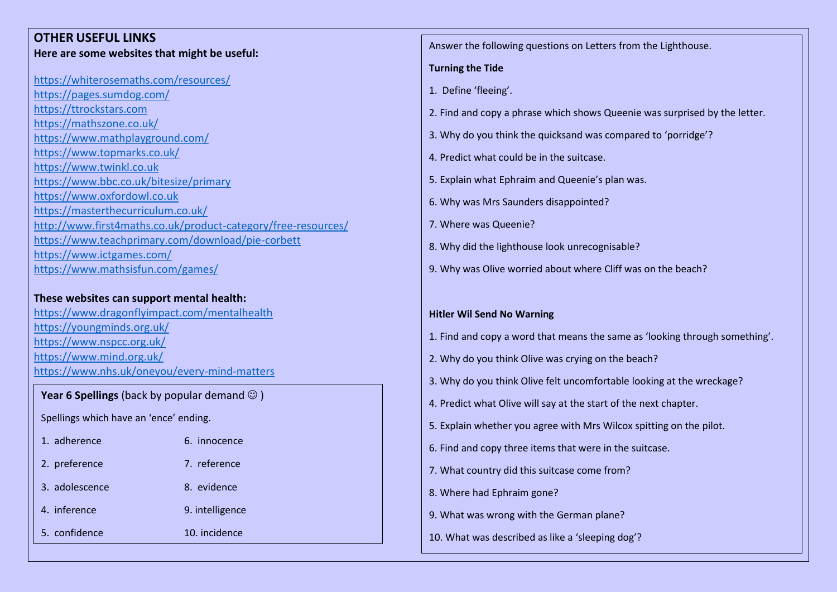| <b>OTHER USEFUL LINKS</b>                                      |                                              | Answer the following questions on Letters from the Lighthouse.                                                                              |  |
|----------------------------------------------------------------|----------------------------------------------|---------------------------------------------------------------------------------------------------------------------------------------------|--|
| Here are some websites that might be useful:                   |                                              |                                                                                                                                             |  |
|                                                                |                                              | <b>Turning the Tide</b>                                                                                                                     |  |
| https://whiterosemaths.com/resources/                          |                                              | 1. Define 'fleeing'.                                                                                                                        |  |
| https://pages.sumdog.com/<br>https://ttrockstars.com           |                                              |                                                                                                                                             |  |
| https://mathszone.co.uk/                                       |                                              | 2. Find and copy a phrase which shows Queenie was surprised by the letter.<br>3. Why do you think the quicksand was compared to 'porridge'? |  |
| https://www.mathplayground.com/                                |                                              |                                                                                                                                             |  |
| https://www.topmarks.co.uk/                                    |                                              | 4. Predict what could be in the suitcase.                                                                                                   |  |
| https://www.twinkl.co.uk                                       |                                              |                                                                                                                                             |  |
| https://www.bbc.co.uk/bitesize/primary                         |                                              | 5. Explain what Ephraim and Queenie's plan was.                                                                                             |  |
| https://www.oxfordowl.co.uk                                    |                                              | 6. Why was Mrs Saunders disappointed?                                                                                                       |  |
| https://masterthecurriculum.co.uk/                             |                                              |                                                                                                                                             |  |
| http://www.first4maths.co.uk/product-category/free-resources/  |                                              | 7. Where was Queenie?                                                                                                                       |  |
| https://www.teachprimary.com/download/pie-corbett              |                                              | 8. Why did the lighthouse look unrecognisable?                                                                                              |  |
| https://www.ictgames.com/<br>https://www.mathsisfun.com/games/ |                                              | 9. Why was Olive worried about where Cliff was on the beach?                                                                                |  |
|                                                                |                                              |                                                                                                                                             |  |
| These websites can support mental health:                      |                                              |                                                                                                                                             |  |
| https://www.dragonflyimpact.com/mentalhealth                   |                                              | <b>Hitler Wil Send No Warning</b>                                                                                                           |  |
| https://youngminds.org.uk/                                     |                                              |                                                                                                                                             |  |
| https://www.nspcc.org.uk/                                      |                                              | 1. Find and copy a word that means the same as 'looking through something'.                                                                 |  |
| https://www.mind.org.uk/                                       |                                              | 2. Why do you think Olive was crying on the beach?                                                                                          |  |
|                                                                | https://www.nhs.uk/oneyou/every-mind-matters |                                                                                                                                             |  |
|                                                                |                                              | 3. Why do you think Olive felt uncomfortable looking at the wreckage?                                                                       |  |
| Year 6 Spellings (back by popular demand $\odot$ )             |                                              | 4. Predict what Olive will say at the start of the next chapter.                                                                            |  |
| Spellings which have an 'ence' ending.                         |                                              |                                                                                                                                             |  |
| 1. adherence                                                   | 6. innocence                                 | 5. Explain whether you agree with Mrs Wilcox spitting on the pilot.                                                                         |  |
|                                                                |                                              | 6. Find and copy three items that were in the suitcase.                                                                                     |  |
| 2. preference                                                  | 7. reference                                 | 7. What country did this suitcase come from?                                                                                                |  |
| 3. adolescence                                                 | 8. evidence                                  | 8. Where had Ephraim gone?                                                                                                                  |  |
| 4. inference                                                   | 9. intelligence                              | 9. What was wrong with the German plane?                                                                                                    |  |
| 5. confidence                                                  | 10. incidence                                | 10. What was described as like a 'sleeping dog'?                                                                                            |  |
|                                                                |                                              |                                                                                                                                             |  |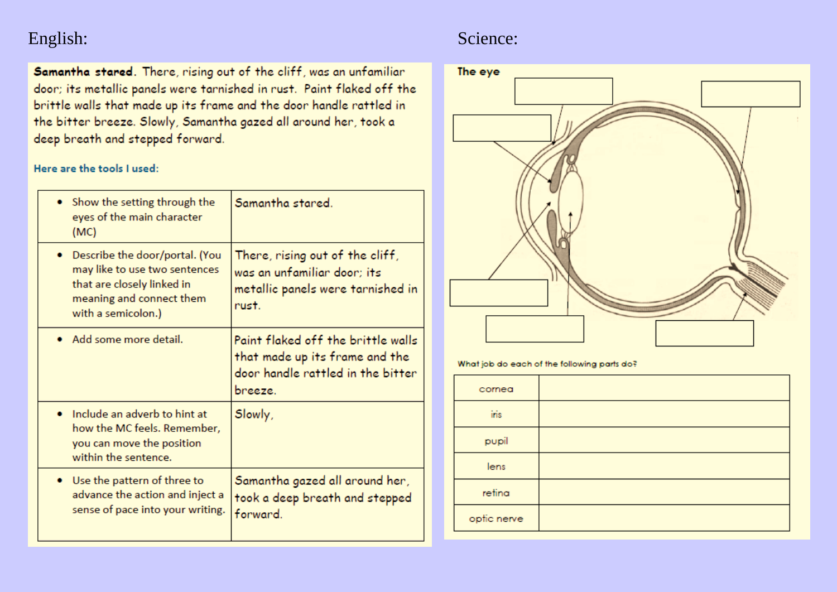## English: Science: Science: Science: Science: Science: Science: Science: Science: Science: Science: Science: Science: Science: Science: Science: Science: Science: Science: Science: Science: Science: Science: Science: Scienc

Samantha stared. There, rising out of the cliff, was an unfamiliar door; its metallic panels were tarnished in rust. Paint flaked off the brittle walls that made up its frame and the door handle rattled in the bitter breeze. Slowly, Samantha gazed all around her, took a deep breath and stepped forward.

Here are the tools I used:

| • Show the setting through the<br>eyes of the main character<br>(MC)                                                                            | Samantha stared.                                                                                                     |
|-------------------------------------------------------------------------------------------------------------------------------------------------|----------------------------------------------------------------------------------------------------------------------|
| Describe the door/portal. (You<br>may like to use two sentences<br>that are closely linked in<br>meaning and connect them<br>with a semicolon.) | There, rising out of the cliff,<br>was an unfamiliar door; its<br>metallic panels were tarnished in<br>rust.         |
| Add some more detail.                                                                                                                           | Paint flaked off the brittle walls<br>that made up its frame and the<br>door handle rattled in the bitter<br>breeze. |
| Include an adverb to hint at<br>how the MC feels. Remember,<br>you can move the position<br>within the sentence.                                | Slowly,                                                                                                              |
| • Use the pattern of three to<br>advance the action and inject a<br>sense of pace into your writing.                                            | Samantha gazed all around her,<br>took a deep breath and stepped<br>forward.                                         |



What job do each of the following parts do?

| cornea      |  |
|-------------|--|
| iris        |  |
| pupil       |  |
| lens        |  |
| retina      |  |
| optic nerve |  |